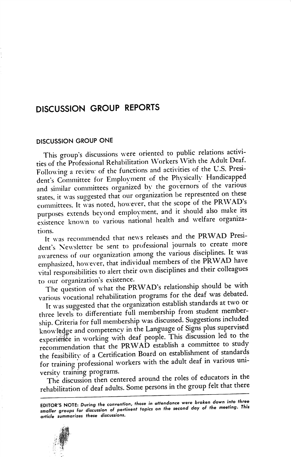# DISCUSSION GROUP REPORTS

## DISCUSSION GROUP ONE

This group's discussions were oriented to public relations activi ties of the Professional Rehabilitation Workers With the Adult Deaf. Following a review of the functions and activities of the U.S. Presi dent's Committee for Emplovment of the Physically Handicapped and similar committees organized by the governors of the various states, it was suggested that our organization he represented on these committees. It was noted, however, that the scope of the PRWAD's purposes extends bevond employment, and it should also make its existence known to various national health and welfare organizations.

It was recommended that news releases and the PRWAD Presi dent's Newsletter be sent to professional journals to create more awareness of our organization among the various disciplines. It was emphasized, however, that individual members of the PRWAD have vital responsibilities to alert their own disciplines and their colleagues to our organization's existence.

The question of what the PRWAD's relationship should be with various vocational rehabilitation programs for the deaf was debated.

It was suggested that the organization establish standards at two or three levels to differentiate full membership from student member ship. Criteria for full membership was discussed. Suggestions included knowledge and competency in the Language of Signs plus supervised experience in working with deaf people. This discussion led to the recommendation that the PRWAD establish a committee to study the feasibilitv of a Certification Board on establishment of standards for training professional workers with the adult deaf in various uni versity training programs.

The discussion then centered around the roles of educators in the rehabilitation of deaf adults. Some persons in the group felt that there

EDITOR'S NOTE: During the convention, those in attendance were broken down into three smaller groups for discussion of pertinenf topics on the second day of the meeting. This article summarizes these discussions.

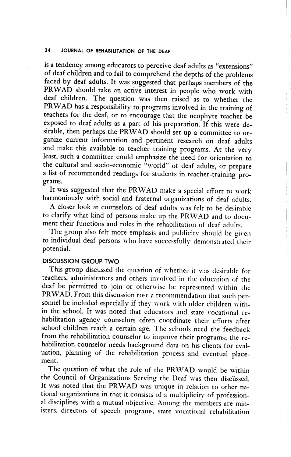#### 34 JOURNAL OF REHABILITATION OF THE DEAF

is a tendency among educators to perceive deaf adults as "extensions" of deaf children and to fail to comprehend the depths of the problems faced by deaf adults. It was suggested that perhaps members of the PRWAD should take an active interest in people who work with deaf children. The question was then raised as to whether the PRWAD has a responsibility to programs involved in the training of teachers for the deaf, or to encourage that the neophyte teacher be exposed to deaf adults as a part of his preparation. If this were de-! sirable, then perhaps the PRWAD should set up a committee to or ganize current information and pertinent research on deaf adults and make this available to teacher training programs. At the very least, such a committee could emphasize the need for orientation to the cultural and socio-economic "world" of deaf adults, or prepare a list of recommended readings for students in teacher-training pro grams.

It was suggested that the PRWAD make a special effort to work harmoniously with social and fraternal organizations of deaf adults.

A closer look at counselors of deaf adults was felt to be desirable to clarify what kind of persons make up the PRWAD and to docu ment their functions and roles in the rehabilitation of deaf adults.

The group also felt more emphasis and publicity should be given to individual deaf persons who have successfully demonstrated their potential.

#### DISCUSSION GROUP TWO

This group discussed the question of w hether it was desirable for teachers, administrators and others involved in the education of the deaf be permitted to join or otherwise be represented within the PRWAD. From this discussion rose a recommendation that such per sonnel be included especially if they work with older children within the school. It was noted that educators and state vocational re habilitation agency counselors often coordinate their efforts after school children reach a certain age. The schools need the feedback from the rehabilitation counselor to improve their programs; the re habilitation counselor needs background data on his clients for eval uation, planning of the rehabilitation process and eventual place ment.

The question of what the role of the PRWAD would be within the Council of Organizations Serving the Deaf was then discussed. It was noted that the PRWAD was unique in relation to other na tional organizations in that it consists of a multiplicity of professional disciplines with a mutual objective. Among the members are min isters, directors of speech programs, state vocational rehabilitation